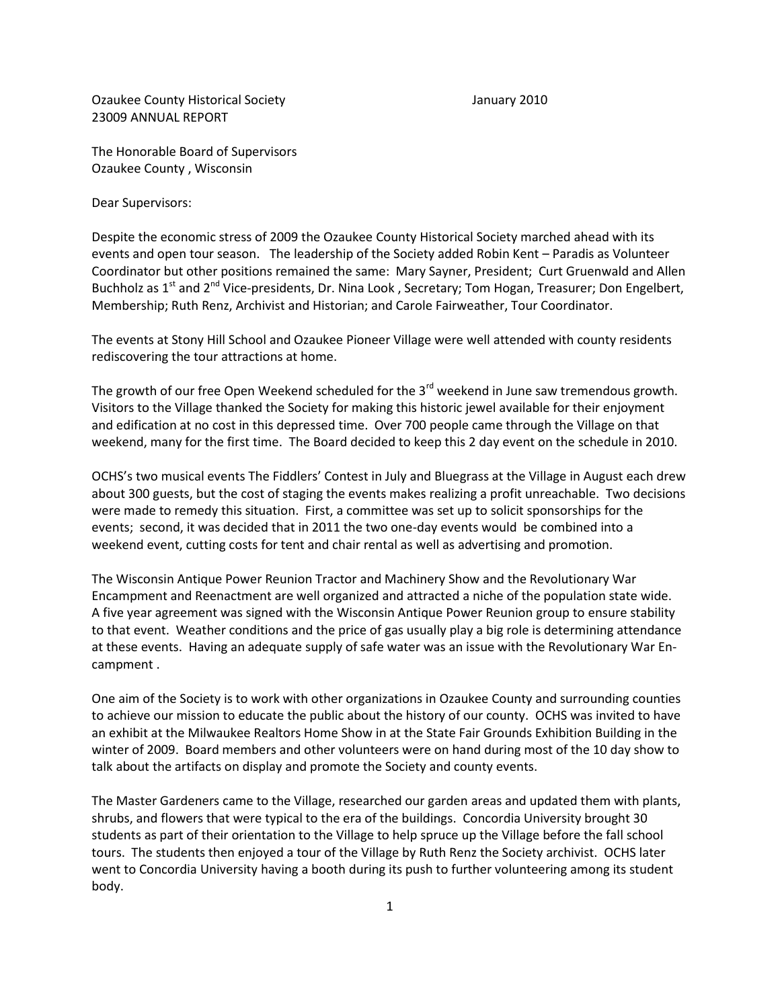Ozaukee County Historical Society January 2010 23009 ANNUAL REPORT

The Honorable Board of Supervisors Ozaukee County , Wisconsin

Dear Supervisors:

Despite the economic stress of 2009 the Ozaukee County Historical Society marched ahead with its events and open tour season. The leadership of the Society added Robin Kent – Paradis as Volunteer Coordinator but other positions remained the same: Mary Sayner, President; Curt Gruenwald and Allen Buchholz as 1<sup>st</sup> and 2<sup>nd</sup> Vice-presidents, Dr. Nina Look, Secretary; Tom Hogan, Treasurer; Don Engelbert, Membership; Ruth Renz, Archivist and Historian; and Carole Fairweather, Tour Coordinator.

The events at Stony Hill School and Ozaukee Pioneer Village were well attended with county residents rediscovering the tour attractions at home.

The growth of our free Open Weekend scheduled for the  $3<sup>rd</sup>$  weekend in June saw tremendous growth. Visitors to the Village thanked the Society for making this historic jewel available for their enjoyment and edification at no cost in this depressed time. Over 700 people came through the Village on that weekend, many for the first time. The Board decided to keep this 2 day event on the schedule in 2010.

OCHS's two musical events The Fiddlers' Contest in July and Bluegrass at the Village in August each drew about 300 guests, but the cost of staging the events makes realizing a profit unreachable. Two decisions were made to remedy this situation. First, a committee was set up to solicit sponsorships for the events; second, it was decided that in 2011 the two one-day events would be combined into a weekend event, cutting costs for tent and chair rental as well as advertising and promotion.

The Wisconsin Antique Power Reunion Tractor and Machinery Show and the Revolutionary War Encampment and Reenactment are well organized and attracted a niche of the population state wide. A five year agreement was signed with the Wisconsin Antique Power Reunion group to ensure stability to that event. Weather conditions and the price of gas usually play a big role is determining attendance at these events. Having an adequate supply of safe water was an issue with the Revolutionary War Encampment .

One aim of the Society is to work with other organizations in Ozaukee County and surrounding counties to achieve our mission to educate the public about the history of our county. OCHS was invited to have an exhibit at the Milwaukee Realtors Home Show in at the State Fair Grounds Exhibition Building in the winter of 2009. Board members and other volunteers were on hand during most of the 10 day show to talk about the artifacts on display and promote the Society and county events.

The Master Gardeners came to the Village, researched our garden areas and updated them with plants, shrubs, and flowers that were typical to the era of the buildings. Concordia University brought 30 students as part of their orientation to the Village to help spruce up the Village before the fall school tours. The students then enjoyed a tour of the Village by Ruth Renz the Society archivist. OCHS later went to Concordia University having a booth during its push to further volunteering among its student body.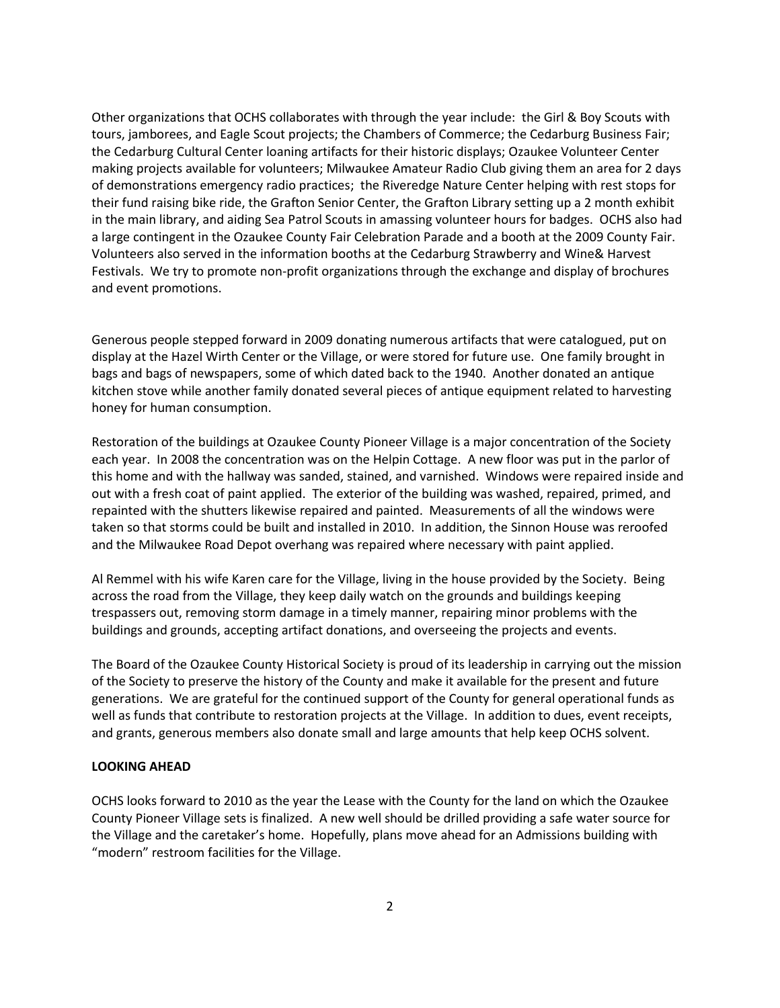Other organizations that OCHS collaborates with through the year include: the Girl & Boy Scouts with tours, jamborees, and Eagle Scout projects; the Chambers of Commerce; the Cedarburg Business Fair; the Cedarburg Cultural Center loaning artifacts for their historic displays; Ozaukee Volunteer Center making projects available for volunteers; Milwaukee Amateur Radio Club giving them an area for 2 days of demonstrations emergency radio practices; the Riveredge Nature Center helping with rest stops for their fund raising bike ride, the Grafton Senior Center, the Grafton Library setting up a 2 month exhibit in the main library, and aiding Sea Patrol Scouts in amassing volunteer hours for badges. OCHS also had a large contingent in the Ozaukee County Fair Celebration Parade and a booth at the 2009 County Fair. Volunteers also served in the information booths at the Cedarburg Strawberry and Wine& Harvest Festivals. We try to promote non-profit organizations through the exchange and display of brochures and event promotions.

Generous people stepped forward in 2009 donating numerous artifacts that were catalogued, put on display at the Hazel Wirth Center or the Village, or were stored for future use. One family brought in bags and bags of newspapers, some of which dated back to the 1940. Another donated an antique kitchen stove while another family donated several pieces of antique equipment related to harvesting honey for human consumption.

Restoration of the buildings at Ozaukee County Pioneer Village is a major concentration of the Society each year. In 2008 the concentration was on the Helpin Cottage. A new floor was put in the parlor of this home and with the hallway was sanded, stained, and varnished. Windows were repaired inside and out with a fresh coat of paint applied. The exterior of the building was washed, repaired, primed, and repainted with the shutters likewise repaired and painted. Measurements of all the windows were taken so that storms could be built and installed in 2010. In addition, the Sinnon House was reroofed and the Milwaukee Road Depot overhang was repaired where necessary with paint applied.

Al Remmel with his wife Karen care for the Village, living in the house provided by the Society. Being across the road from the Village, they keep daily watch on the grounds and buildings keeping trespassers out, removing storm damage in a timely manner, repairing minor problems with the buildings and grounds, accepting artifact donations, and overseeing the projects and events.

The Board of the Ozaukee County Historical Society is proud of its leadership in carrying out the mission of the Society to preserve the history of the County and make it available for the present and future generations. We are grateful for the continued support of the County for general operational funds as well as funds that contribute to restoration projects at the Village. In addition to dues, event receipts, and grants, generous members also donate small and large amounts that help keep OCHS solvent.

## **LOOKING AHEAD**

OCHS looks forward to 2010 as the year the Lease with the County for the land on which the Ozaukee County Pioneer Village sets is finalized. A new well should be drilled providing a safe water source for the Village and the caretaker's home. Hopefully, plans move ahead for an Admissions building with "modern" restroom facilities for the Village.